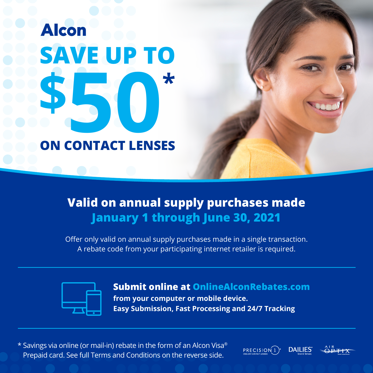# **Alcon SAVE UP TO 50\* \$ ON CONTACT LENSES**

## **Valid on annual supply purchases made January 1 through June 30, 2021**

Offer only valid on annual supply purchases made in a single transaction. A rebate code from your participating internet retailer is required.



#### **Submit online at OnlineAlconRebates.com**

**from your computer or mobile device. Easy Submission, Fast Processing and 24/7 Tracking**

\* Savings via online (or mail-in) rebate in the form of an Alcon Visa® Prepaid card. See full Terms and Conditions on the reverse side.

 $PRECISION(1)$ **DAILIES**